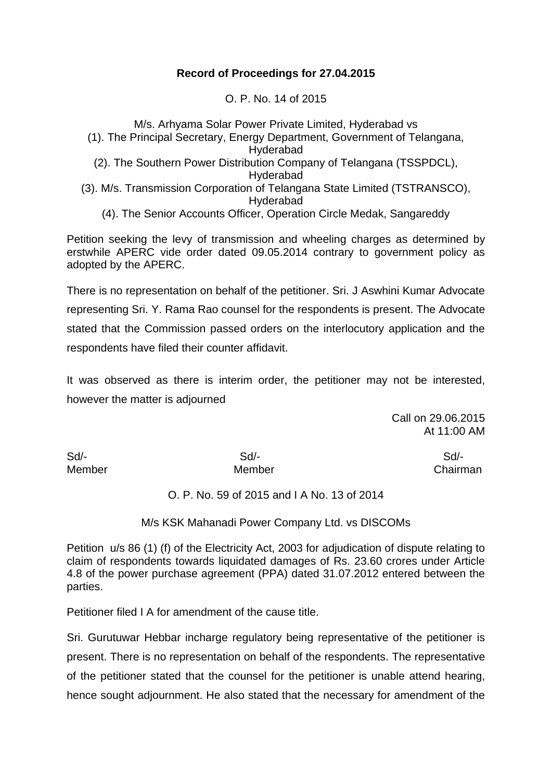# **Record of Proceedings for 27.04.2015**

O. P. No. 14 of 2015

M/s. Arhyama Solar Power Private Limited, Hyderabad vs (1). The Principal Secretary, Energy Department, Government of Telangana, Hyderabad (2). The Southern Power Distribution Company of Telangana (TSSPDCL), Hyderabad (3). M/s. Transmission Corporation of Telangana State Limited (TSTRANSCO), Hyderabad

(4). The Senior Accounts Officer, Operation Circle Medak, Sangareddy

Petition seeking the levy of transmission and wheeling charges as determined by erstwhile APERC vide order dated 09.05.2014 contrary to government policy as adopted by the APERC.

There is no representation on behalf of the petitioner. Sri. J Aswhini Kumar Advocate representing Sri. Y. Rama Rao counsel for the respondents is present. The Advocate stated that the Commission passed orders on the interlocutory application and the respondents have filed their counter affidavit.

It was observed as there is interim order, the petitioner may not be interested, however the matter is adjourned

> Call on 29.06.2015 At 11:00 AM

Sd/- Sd/- Sd/-

Member Member Chairman

O. P. No. 59 of 2015 and I A No. 13 of 2014

M/s KSK Mahanadi Power Company Ltd. vs DISCOMs

Petition u/s 86 (1) (f) of the Electricity Act, 2003 for adjudication of dispute relating to claim of respondents towards liquidated damages of Rs. 23.60 crores under Article 4.8 of the power purchase agreement (PPA) dated 31.07.2012 entered between the parties.

Petitioner filed I A for amendment of the cause title.

Sri. Gurutuwar Hebbar incharge regulatory being representative of the petitioner is present. There is no representation on behalf of the respondents. The representative of the petitioner stated that the counsel for the petitioner is unable attend hearing, hence sought adjournment. He also stated that the necessary for amendment of the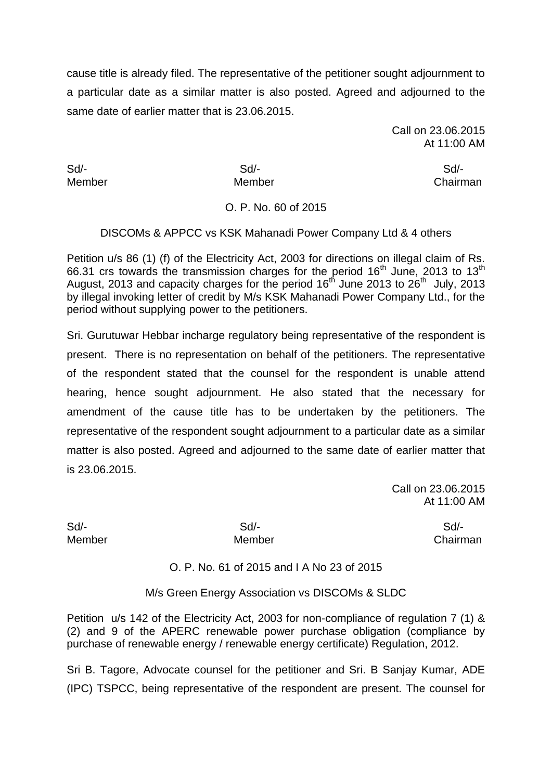cause title is already filed. The representative of the petitioner sought adjournment to a particular date as a similar matter is also posted. Agreed and adjourned to the same date of earlier matter that is 23.06.2015.

> Call on 23.06.2015 At 11:00 AM

Sd/- Sd/- Sd/-

Member Member Chairman

### O. P. No. 60 of 2015

DISCOMs & APPCC vs KSK Mahanadi Power Company Ltd & 4 others

Petition u/s 86 (1) (f) of the Electricity Act, 2003 for directions on illegal claim of Rs. 66.31 crs towards the transmission charges for the period  $16<sup>th</sup>$  June, 2013 to  $13<sup>th</sup>$ August, 2013 and capacity charges for the period  $16<sup>th</sup>$  June 2013 to 26<sup>th</sup> July, 2013 by illegal invoking letter of credit by M/s KSK Mahanadi Power Company Ltd., for the period without supplying power to the petitioners.

Sri. Gurutuwar Hebbar incharge regulatory being representative of the respondent is present. There is no representation on behalf of the petitioners. The representative of the respondent stated that the counsel for the respondent is unable attend hearing, hence sought adjournment. He also stated that the necessary for amendment of the cause title has to be undertaken by the petitioners. The representative of the respondent sought adjournment to a particular date as a similar matter is also posted. Agreed and adjourned to the same date of earlier matter that is 23.06.2015.

> Call on 23.06.2015 At 11:00 AM

Sd/- Sd/- Sd/-

Member Member Chairman

O. P. No. 61 of 2015 and I A No 23 of 2015

M/s Green Energy Association vs DISCOMs & SLDC

Petition u/s 142 of the Electricity Act, 2003 for non-compliance of regulation 7 (1) & (2) and 9 of the APERC renewable power purchase obligation (compliance by purchase of renewable energy / renewable energy certificate) Regulation, 2012.

Sri B. Tagore, Advocate counsel for the petitioner and Sri. B Sanjay Kumar, ADE (IPC) TSPCC, being representative of the respondent are present. The counsel for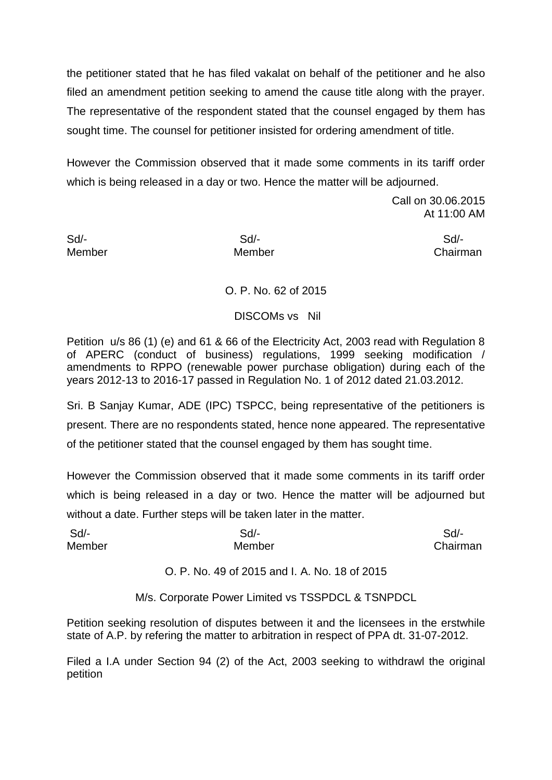the petitioner stated that he has filed vakalat on behalf of the petitioner and he also filed an amendment petition seeking to amend the cause title along with the prayer. The representative of the respondent stated that the counsel engaged by them has sought time. The counsel for petitioner insisted for ordering amendment of title.

However the Commission observed that it made some comments in its tariff order which is being released in a day or two. Hence the matter will be adjourned.

> Call on 30.06.2015 At 11:00 AM

Sd/- Sd/- Sd/- Member Member Chairman

# O. P. No. 62 of 2015

## DISCOMs vs Nil

Petition u/s 86 (1) (e) and 61 & 66 of the Electricity Act, 2003 read with Regulation 8 of APERC (conduct of business) regulations, 1999 seeking modification / amendments to RPPO (renewable power purchase obligation) during each of the years 2012-13 to 2016-17 passed in Regulation No. 1 of 2012 dated 21.03.2012.

Sri. B Sanjay Kumar, ADE (IPC) TSPCC, being representative of the petitioners is present. There are no respondents stated, hence none appeared. The representative of the petitioner stated that the counsel engaged by them has sought time.

However the Commission observed that it made some comments in its tariff order which is being released in a day or two. Hence the matter will be adjourned but without a date. Further steps will be taken later in the matter.

| Sd/-   | Sd/-   | Sd/-     |
|--------|--------|----------|
| Member | Member | Chairman |

O. P. No. 49 of 2015 and I. A. No. 18 of 2015

M/s. Corporate Power Limited vs TSSPDCL & TSNPDCL

Petition seeking resolution of disputes between it and the licensees in the erstwhile state of A.P. by refering the matter to arbitration in respect of PPA dt. 31-07-2012.

Filed a I.A under Section 94 (2) of the Act, 2003 seeking to withdrawl the original petition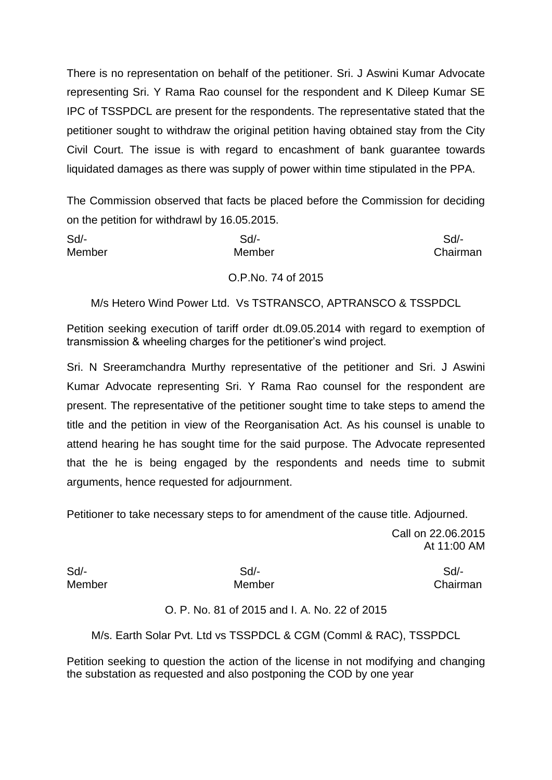There is no representation on behalf of the petitioner. Sri. J Aswini Kumar Advocate representing Sri. Y Rama Rao counsel for the respondent and K Dileep Kumar SE IPC of TSSPDCL are present for the respondents. The representative stated that the petitioner sought to withdraw the original petition having obtained stay from the City Civil Court. The issue is with regard to encashment of bank guarantee towards liquidated damages as there was supply of power within time stipulated in the PPA.

The Commission observed that facts be placed before the Commission for deciding on the petition for withdrawl by 16.05.2015.

| Sd/-   | $Sd$ -             | Sd       |
|--------|--------------------|----------|
| Member | Member             | Chairman |
|        | O.P.No. 74 of 2015 |          |

M/s Hetero Wind Power Ltd. Vs TSTRANSCO, APTRANSCO & TSSPDCL

Petition seeking execution of tariff order dt.09.05.2014 with regard to exemption of transmission & wheeling charges for the petitioner's wind project.

Sri. N Sreeramchandra Murthy representative of the petitioner and Sri. J Aswini Kumar Advocate representing Sri. Y Rama Rao counsel for the respondent are present. The representative of the petitioner sought time to take steps to amend the title and the petition in view of the Reorganisation Act. As his counsel is unable to attend hearing he has sought time for the said purpose. The Advocate represented that the he is being engaged by the respondents and needs time to submit arguments, hence requested for adjournment.

Petitioner to take necessary steps to for amendment of the cause title. Adjourned.

Call on 22.06.2015 At 11:00 AM

Sd/- Sd/- Sd/-

Member Member Chairman

O. P. No. 81 of 2015 and I. A. No. 22 of 2015

M/s. Earth Solar Pvt. Ltd vs TSSPDCL & CGM (Comml & RAC), TSSPDCL

Petition seeking to question the action of the license in not modifying and changing the substation as requested and also postponing the COD by one year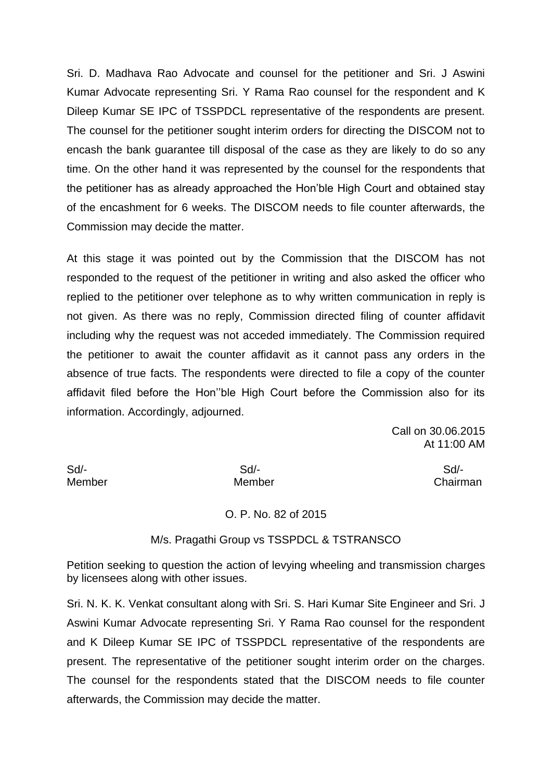Sri. D. Madhava Rao Advocate and counsel for the petitioner and Sri. J Aswini Kumar Advocate representing Sri. Y Rama Rao counsel for the respondent and K Dileep Kumar SE IPC of TSSPDCL representative of the respondents are present. The counsel for the petitioner sought interim orders for directing the DISCOM not to encash the bank guarantee till disposal of the case as they are likely to do so any time. On the other hand it was represented by the counsel for the respondents that the petitioner has as already approached the Hon'ble High Court and obtained stay of the encashment for 6 weeks. The DISCOM needs to file counter afterwards, the Commission may decide the matter.

At this stage it was pointed out by the Commission that the DISCOM has not responded to the request of the petitioner in writing and also asked the officer who replied to the petitioner over telephone as to why written communication in reply is not given. As there was no reply, Commission directed filing of counter affidavit including why the request was not acceded immediately. The Commission required the petitioner to await the counter affidavit as it cannot pass any orders in the absence of true facts. The respondents were directed to file a copy of the counter affidavit filed before the Hon''ble High Court before the Commission also for its information. Accordingly, adjourned.

> Call on 30.06.2015 At 11:00 AM

Sd/- Sd/- Sd/-

Member Member Chairman

### O. P. No. 82 of 2015

#### M/s. Pragathi Group vs TSSPDCL & TSTRANSCO

Petition seeking to question the action of levying wheeling and transmission charges by licensees along with other issues.

Sri. N. K. K. Venkat consultant along with Sri. S. Hari Kumar Site Engineer and Sri. J Aswini Kumar Advocate representing Sri. Y Rama Rao counsel for the respondent and K Dileep Kumar SE IPC of TSSPDCL representative of the respondents are present. The representative of the petitioner sought interim order on the charges. The counsel for the respondents stated that the DISCOM needs to file counter afterwards, the Commission may decide the matter.